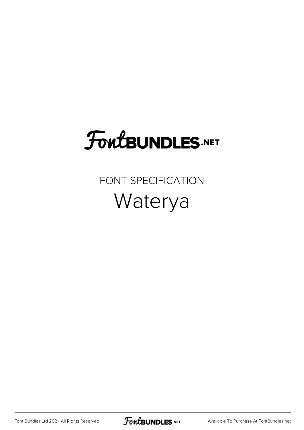## **FoutBUNDLES.NET**

FONT SPECIFICATION Waterya

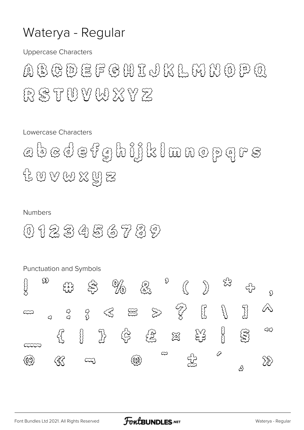## Waterya - Regular

**Uppercase Characters** 

A S T U V W X Y Z

Lowercase Characters

a b a d e f g h i j k l m n o p q r s 12 W W X 및 E

## **Numbers**

0 1 2 3 4 5 6 7 3 9

**Punctuation and Symbols** 

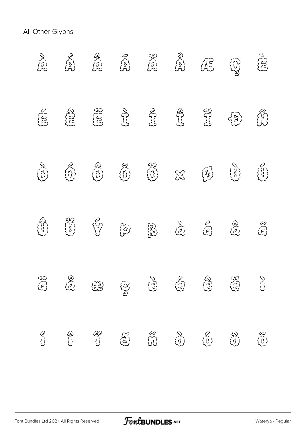All Other Glyphs

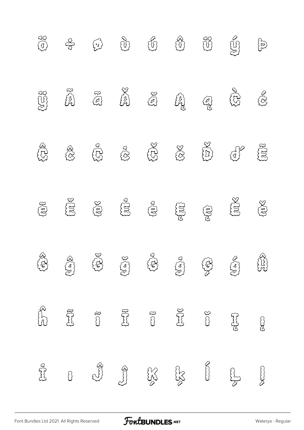| $\begin{pmatrix} 0 \\ 0 \end{pmatrix}$ | colo                  | $\begin{pmatrix} 1 \\ 1 \end{pmatrix}$                  | $\begin{picture}(120,15) \put(0,0){\line(1,0){15}} \put(15,0){\line(1,0){15}} \put(15,0){\line(1,0){15}} \put(15,0){\line(1,0){15}} \put(15,0){\line(1,0){15}} \put(15,0){\line(1,0){15}} \put(15,0){\line(1,0){15}} \put(15,0){\line(1,0){15}} \put(15,0){\line(1,0){15}} \put(15,0){\line(1,0){15}} \put(15,0){\line(1,0){15}} \put(15,0){\line($ | $\mathbb{S}^2$                              | ED                                         | $\begin{matrix} 35 \\ 0 \\ 0 \\ 0 \\ 0 \\ \end{matrix}$ | $\widetilde{\mathcal{G}}$ | $\begin{picture}(220,20) \put(0,0){\line(1,0){155}} \put(15,0){\line(1,0){155}} \put(15,0){\line(1,0){155}} \put(15,0){\line(1,0){155}} \put(15,0){\line(1,0){155}} \put(15,0){\line(1,0){155}} \put(15,0){\line(1,0){155}} \put(15,0){\line(1,0){155}} \put(15,0){\line(1,0){155}} \put(15,0){\line(1,0){155}} \put(15,0){\line(1,0){155}}$ |
|----------------------------------------|-----------------------|---------------------------------------------------------|-----------------------------------------------------------------------------------------------------------------------------------------------------------------------------------------------------------------------------------------------------------------------------------------------------------------------------------------------------|---------------------------------------------|--------------------------------------------|---------------------------------------------------------|---------------------------|----------------------------------------------------------------------------------------------------------------------------------------------------------------------------------------------------------------------------------------------------------------------------------------------------------------------------------------------|
| $\mathbb{G}^{\mathfrak{g}}$            | $\sum_{i=1}^{n}$      | $\begin{array}{c} \mathbb{S} \\ \mathbb{S} \end{array}$ |                                                                                                                                                                                                                                                                                                                                                     | $\begin{pmatrix} 0 \\ 0 \\ 0 \end{pmatrix}$ | <b>CAS</b>                                 | 3                                                       | EER                       | 520                                                                                                                                                                                                                                                                                                                                          |
| 338                                    | <b>BOD</b>            | 532                                                     | $\bigotimes^\Delta$                                                                                                                                                                                                                                                                                                                                 | 538                                         | $\begin{aligned} \text{SNC} \end{aligned}$ | $\mathbb{Z}^{\times}$                                   | (3)                       | EEE                                                                                                                                                                                                                                                                                                                                          |
| $\widetilde{\mathcal{U}^{0}}$          | E                     | <b>FOR</b>                                              | $\{\sum_{i=1}^{n}a_i\}$                                                                                                                                                                                                                                                                                                                             | $\mathbb{Q}^{\infty}$                       | SEIL                                       | S                                                       | <b>SERS</b>               | ES                                                                                                                                                                                                                                                                                                                                           |
| REA                                    | BEA                   | 350                                                     | $\begin{picture}(120,15) \put(0,0){\line(1,0){155}} \put(15,0){\line(1,0){155}} \put(15,0){\line(1,0){155}} \put(15,0){\line(1,0){155}} \put(15,0){\line(1,0){155}} \put(15,0){\line(1,0){155}} \put(15,0){\line(1,0){155}} \put(15,0){\line(1,0){155}} \put(15,0){\line(1,0){155}} \put(15,0){\line(1,0){155}} \put(15,0){\line(1,0){155}}$        | ER                                          | $\sum_{i=1}^{n}c_i$                        | <b>SER</b>                                              | $\sum_{i=1}^{n}$          | $\begin{pmatrix} 2 & 3 \\ 4 & 3 \end{pmatrix}$                                                                                                                                                                                                                                                                                               |
| Si D                                   | $\sum_{k=1}^{\infty}$ | $\mathbb{S}$                                            |                                                                                                                                                                                                                                                                                                                                                     | $\mathbb{S}$                                | $35 - 32$                                  | $\mathbb{S}$                                            | RSS                       | <b>BUD</b>                                                                                                                                                                                                                                                                                                                                   |
| $\sum_{i=1}^{n}$                       | $\overline{\Omega}$   | $\mathbb{S}^3$                                          | El                                                                                                                                                                                                                                                                                                                                                  | ES                                          | SSS<br>SSS                                 | CCCCO                                                   | ESCO                      |                                                                                                                                                                                                                                                                                                                                              |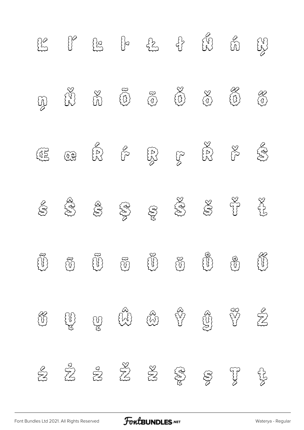